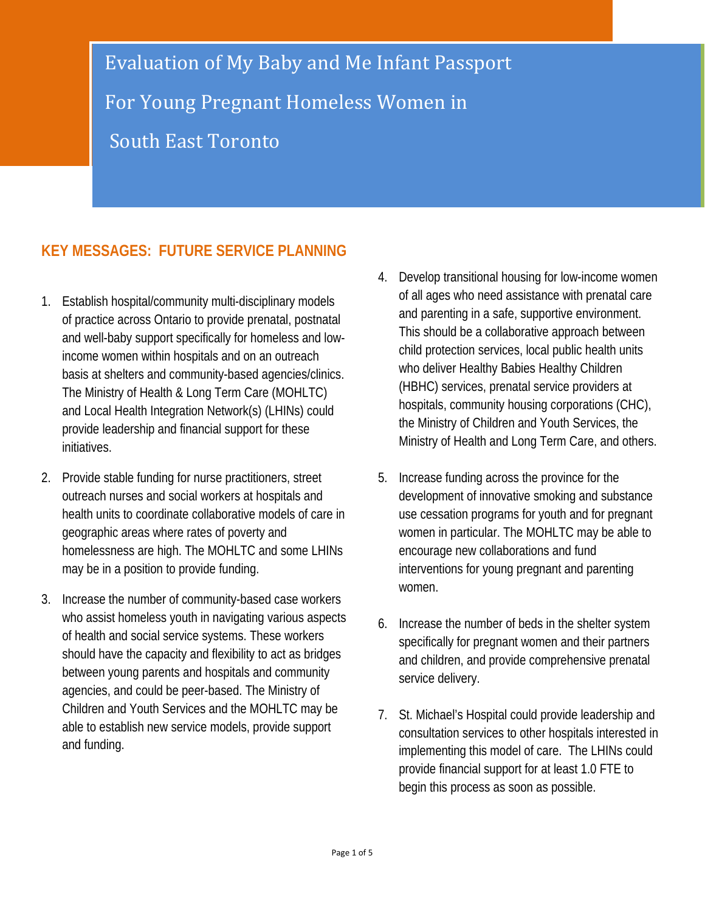Evaluation of My Baby and Me Infant Passport For Young Pregnant Homeless Women in South East Toronto

# **KEY MESSAGES: FUTURE SERVICE PLANNING**

- 1. Establish hospital/community multi-disciplinary models of practice across Ontario to provide prenatal, postnatal and well-baby support specifically for homeless and lowincome women within hospitals and on an outreach basis at shelters and community-based agencies/clinics. The Ministry of Health & Long Term Care (MOHLTC) and Local Health Integration Network(s) (LHINs) could provide leadership and financial support for these initiatives.
- 2. Provide stable funding for nurse practitioners, street outreach nurses and social workers at hospitals and health units to coordinate collaborative models of care in geographic areas where rates of poverty and homelessness are high. The MOHLTC and some LHINs may be in a position to provide funding.
- 3. Increase the number of community-based case workers who assist homeless youth in navigating various aspects of health and social service systems. These workers should have the capacity and flexibility to act as bridges between young parents and hospitals and community agencies, and could be peer-based. The Ministry of Children and Youth Services and the MOHLTC may be able to establish new service models, provide support and funding.
- 4. Develop transitional housing for low-income women of all ages who need assistance with prenatal care and parenting in a safe, supportive environment. This should be a collaborative approach between child protection services, local public health units who deliver Healthy Babies Healthy Children (HBHC) services, prenatal service providers at hospitals, community housing corporations (CHC), the Ministry of Children and Youth Services, the Ministry of Health and Long Term Care, and others.
- 5. Increase funding across the province for the development of innovative smoking and substance use cessation programs for youth and for pregnant women in particular. The MOHLTC may be able to encourage new collaborations and fund interventions for young pregnant and parenting women.
- 6. Increase the number of beds in the shelter system specifically for pregnant women and their partners and children, and provide comprehensive prenatal service delivery.
- 7. St. Michael's Hospital could provide leadership and consultation services to other hospitals interested in implementing this model of care. The LHINs could provide financial support for at least 1.0 FTE to begin this process as soon as possible.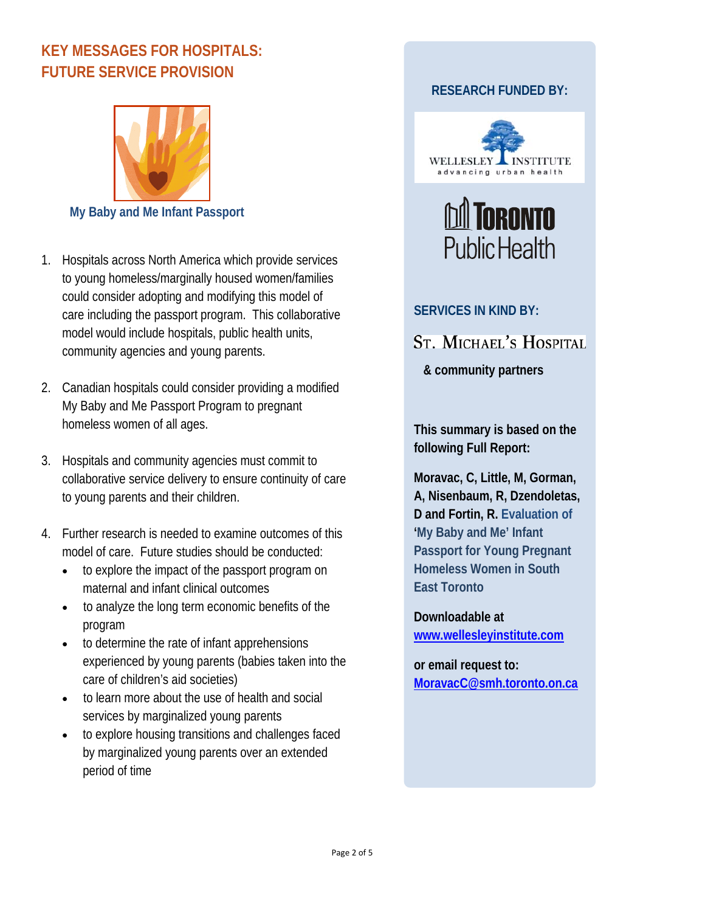# **KEY MESSAGES FOR HOSPITALS: FUTURE SERVICE PROVISION**



- 1. Hospitals across North America which provide services to young homeless/marginally housed women/families could consider adopting and modifying this model of care including the passport program. This collaborative model would include hospitals, public health units, community agencies and young parents.
- 2. Canadian hospitals could consider providing a modified My Baby and Me Passport Program to pregnant homeless women of all ages.
- 3. Hospitals and community agencies must commit to collaborative service delivery to ensure continuity of care to young parents and their children.
- 4. Further research is needed to examine outcomes of this model of care. Future studies should be conducted:
	- to explore the impact of the passport program on maternal and infant clinical outcomes
	- to analyze the long term economic benefits of the program
	- to determine the rate of infant apprehensions experienced by young parents (babies taken into the care of children's aid societies)
	- to learn more about the use of health and social services by marginalized young parents
	- to explore housing transitions and challenges faced by marginalized young parents over an extended period of time

# **RESEARCH FUNDED BY:**





### **SERVICES IN KIND BY:**

# **ST. MICHAEL'S HOSPITAL**

# **& community partners**

**This summary is based on the following Full Report:** 

**Moravac, C, Little, M, Gorman, A, Nisenbaum, R, Dzendoletas, D and Fortin, R. Evaluation of 'My Baby and Me' Infant Passport for Young Pregnant Homeless Women in South East Toronto** 

**Downloadable at www.wellesleyinstitute.com**

**or email request to: MoravacC@smh.toronto.on.ca**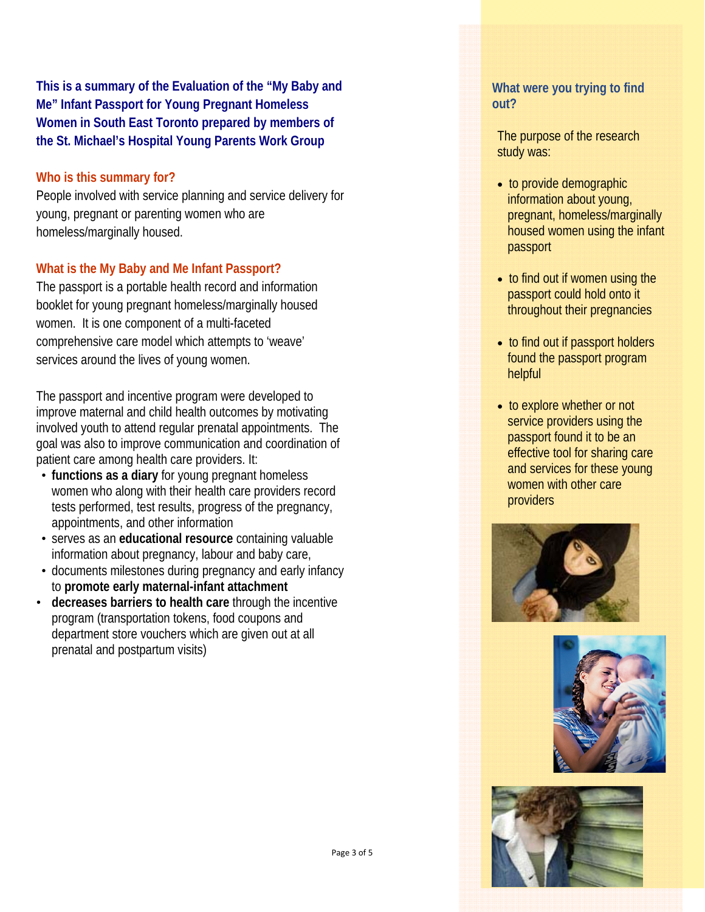**This is a summary of the Evaluation of the "My Baby and Me" Infant Passport for Young Pregnant Homeless Women in South East Toronto prepared by members of the St. Michael's Hospital Young Parents Work Group** 

#### **Who is this summary for?**

People involved with service planning and service delivery for young, pregnant or parenting women who are homeless/marginally housed.

#### **What is the My Baby and Me Infant Passport?**

The passport is a portable health record and information booklet for young pregnant homeless/marginally housed women. It is one component of a multi-faceted comprehensive care model which attempts to 'weave' services around the lives of young women.

The passport and incentive program were developed to improve maternal and child health outcomes by motivating involved youth to attend regular prenatal appointments. The goal was also to improve communication and coordination of patient care among health care providers. It:

- **functions as a diary** for young pregnant homeless women who along with their health care providers record tests performed, test results, progress of the pregnancy, appointments, and other information
- serves as an **educational resource** containing valuable information about pregnancy, labour and baby care,
- documents milestones during pregnancy and early infancy to **promote early maternal-infant attachment**
- **decreases barriers to health care** through the incentive program (transportation tokens, food coupons and department store vouchers which are given out at all prenatal and postpartum visits)

#### **What were you trying to find out?**

The purpose of the research study was:

- to provide demographic information about young, pregnant, homeless/marginally housed women using the infant passport
- to find out if women using the passport could hold onto it throughout their pregnancies
- to find out if passport holders found the passport program helpful
- to explore whether or not service providers using the passport found it to be an effective tool for sharing care and services for these young women with other care providers





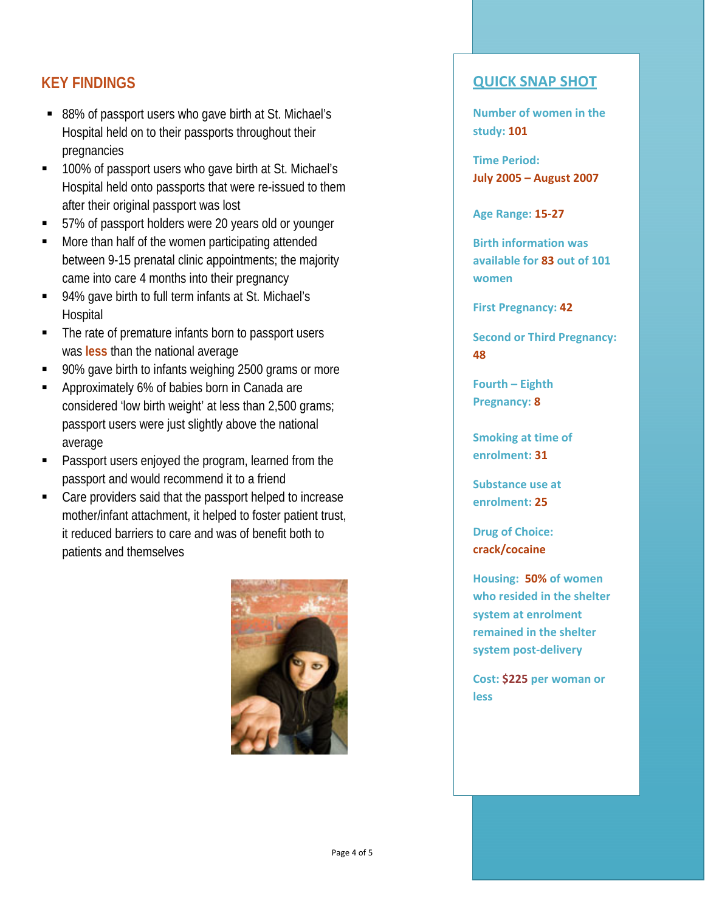# **KEY FINDINGS**

- 88% of passport users who gave birth at St. Michael's Hospital held on to their passports throughout their pregnancies
- 100% of passport users who gave birth at St. Michael's Hospital held onto passports that were re-issued to them after their original passport was lost
- 57% of passport holders were 20 years old or younger
- **More than half of the women participating attended** between 9-15 prenatal clinic appointments; the majority came into care 4 months into their pregnancy
- 94% gave birth to full term infants at St. Michael's **Hospital**
- The rate of premature infants born to passport users was **less** than the national average
- 90% gave birth to infants weighing 2500 grams or more
- **Approximately 6% of babies born in Canada are** considered 'low birth weight' at less than 2,500 grams; passport users were just slightly above the national average
- **Passport users enjoyed the program, learned from the** passport and would recommend it to a friend
- Care providers said that the passport helped to increase mother/infant attachment, it helped to foster patient trust, it reduced barriers to care and was of benefit both to patients and themselves



## **QUICK SNAP SHOT**

**Number of women in the study: 101**

**Time Period: July 2005 – August 2007**

**Age Range: 15‐27**

**Birth information was available for 83 out of 101 women**

**First Pregnancy: 42**

**Second or Third Pregnancy: 48**

**Fourth – Eighth Pregnancy: 8**

**Smoking at time of enrolment: 31**

**Substance use at enrolment: 25**

**Drug of Choice: crack/cocaine**

**Housing: 50% of women who resided in the shelter system at enrolment remained in the shelter system post‐delivery**

**Cost: \$225 per woman or less**